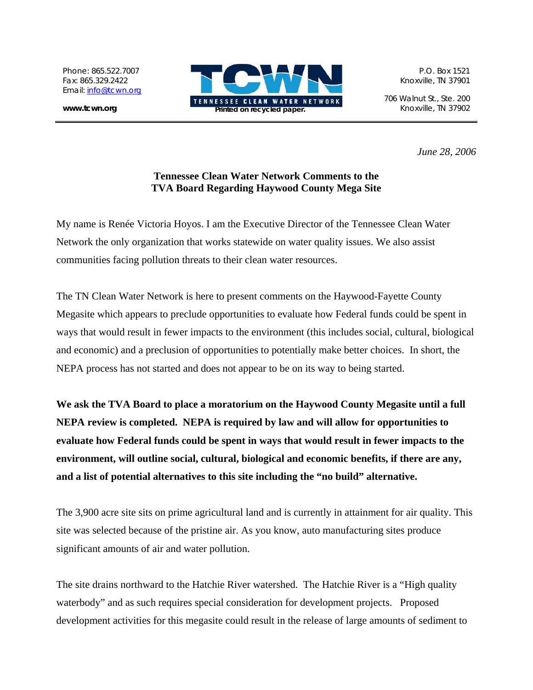Phone: 865.522.7007 Fax: 865.329.2422 Email: [info@tcwn.org](mailto:info@tcwn.org)

**www.tcwn.org** 



706 Walnut St., Ste. 200

*June 28, 2006* 

## **Tennessee Clean Water Network Comments to the TVA Board Regarding Haywood County Mega Site**

My name is Renée Victoria Hoyos. I am the Executive Director of the Tennessee Clean Water Network the only organization that works statewide on water quality issues. We also assist communities facing pollution threats to their clean water resources.

The TN Clean Water Network is here to present comments on the Haywood-Fayette County Megasite which appears to preclude opportunities to evaluate how Federal funds could be spent in ways that would result in fewer impacts to the environment (this includes social, cultural, biological and economic) and a preclusion of opportunities to potentially make better choices. In short, the NEPA process has not started and does not appear to be on its way to being started.

**We ask the TVA Board to place a moratorium on the Haywood County Megasite until a full NEPA review is completed. NEPA is required by law and will allow for opportunities to evaluate how Federal funds could be spent in ways that would result in fewer impacts to the environment, will outline social, cultural, biological and economic benefits, if there are any, and a list of potential alternatives to this site including the "no build" alternative.** 

The 3,900 acre site sits on prime agricultural land and is currently in attainment for air quality. This site was selected because of the pristine air. As you know, auto manufacturing sites produce significant amounts of air and water pollution.

The site drains northward to the Hatchie River watershed. The Hatchie River is a "High quality waterbody" and as such requires special consideration for development projects. Proposed development activities for this megasite could result in the release of large amounts of sediment to